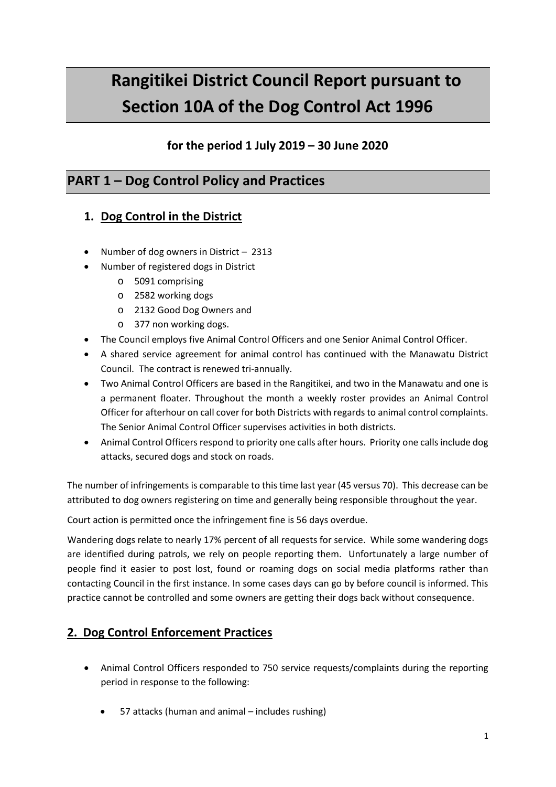# **Rangitikei District Council Report pursuant to Section 10A of the Dog Control Act 1996**

### **for the period 1 July 2019 – 30 June 2020**

# **PART 1 – Dog Control Policy and Practices**

# **1. Dog Control in the District**

- Number of dog owners in District 2313
- Number of registered dogs in District
	- o 5091 comprising
	- o 2582 working dogs
	- o 2132 Good Dog Owners and
	- o 377 non working dogs.
- The Council employs five Animal Control Officers and one Senior Animal Control Officer.
- A shared service agreement for animal control has continued with the Manawatu District Council. The contract is renewed tri-annually.
- Two Animal Control Officers are based in the Rangitikei, and two in the Manawatu and one is a permanent floater. Throughout the month a weekly roster provides an Animal Control Officer for afterhour on call cover for both Districts with regards to animal control complaints. The Senior Animal Control Officer supervises activities in both districts.
- Animal Control Officers respond to priority one calls after hours. Priority one calls include dog attacks, secured dogs and stock on roads.

The number of infringements is comparable to this time last year (45 versus 70). This decrease can be attributed to dog owners registering on time and generally being responsible throughout the year.

Court action is permitted once the infringement fine is 56 days overdue.

Wandering dogs relate to nearly 17% percent of all requests for service. While some wandering dogs are identified during patrols, we rely on people reporting them. Unfortunately a large number of people find it easier to post lost, found or roaming dogs on social media platforms rather than contacting Council in the first instance. In some cases days can go by before council is informed. This practice cannot be controlled and some owners are getting their dogs back without consequence.

#### **2. Dog Control Enforcement Practices**

- Animal Control Officers responded to 750 service requests/complaints during the reporting period in response to the following:
	- 57 attacks (human and animal includes rushing)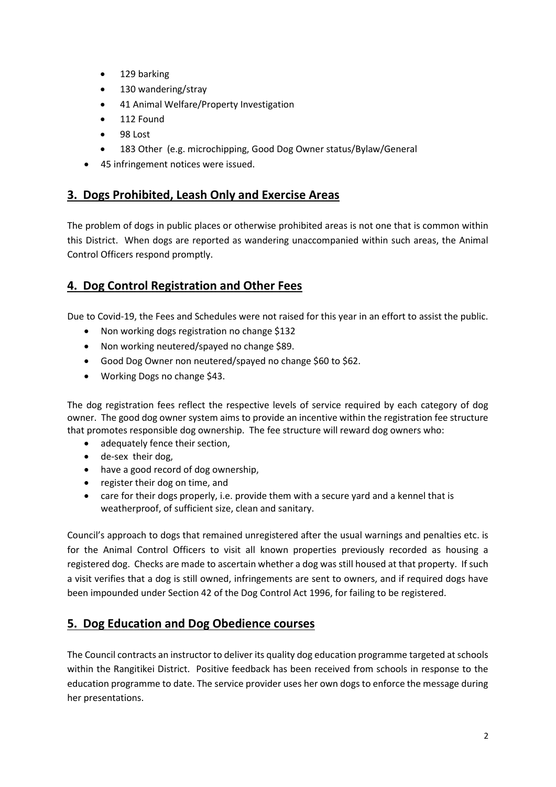- 129 barking
- 130 wandering/stray
- 41 Animal Welfare/Property Investigation
- 112 Found
- 98 Lost
- 183 Other (e.g. microchipping, Good Dog Owner status/Bylaw/General
- 45 infringement notices were issued.

#### **3. Dogs Prohibited, Leash Only and Exercise Areas**

The problem of dogs in public places or otherwise prohibited areas is not one that is common within this District. When dogs are reported as wandering unaccompanied within such areas, the Animal Control Officers respond promptly.

#### **4. Dog Control Registration and Other Fees**

Due to Covid-19, the Fees and Schedules were not raised for this year in an effort to assist the public.

- Non working dogs registration no change \$132
- Non working neutered/spayed no change \$89.
- Good Dog Owner non neutered/spayed no change \$60 to \$62.
- Working Dogs no change \$43.

The dog registration fees reflect the respective levels of service required by each category of dog owner. The good dog owner system aims to provide an incentive within the registration fee structure that promotes responsible dog ownership. The fee structure will reward dog owners who:

- adequately fence their section,
- de-sex their dog,
- have a good record of dog ownership,
- register their dog on time, and
- care for their dogs properly, i.e. provide them with a secure yard and a kennel that is weatherproof, of sufficient size, clean and sanitary.

Council's approach to dogs that remained unregistered after the usual warnings and penalties etc. is for the Animal Control Officers to visit all known properties previously recorded as housing a registered dog. Checks are made to ascertain whether a dog was still housed at that property. If such a visit verifies that a dog is still owned, infringements are sent to owners, and if required dogs have been impounded under Section 42 of the Dog Control Act 1996, for failing to be registered.

#### **5. Dog Education and Dog Obedience courses**

The Council contracts an instructor to deliver its quality dog education programme targeted at schools within the Rangitikei District. Positive feedback has been received from schools in response to the education programme to date. The service provider uses her own dogs to enforce the message during her presentations.